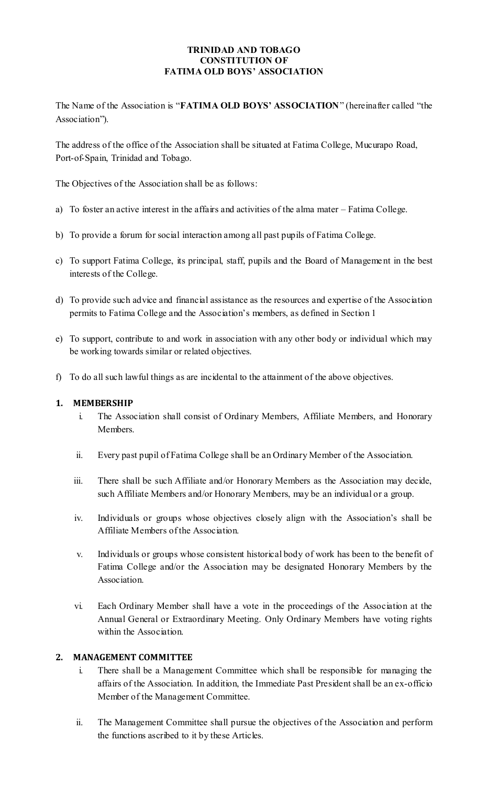#### **TRINIDAD AND TOBAGO CONSTITUTION OF FATIMA OLD BOYS' ASSOCIATION**

The Name of the Association is "**FATIMA OLD BOYS' ASSOCIATION**" (hereinafter called "the Association").

The address of the office of the Association shall be situated at Fatima College, Mucurapo Road, Port-of-Spain, Trinidad and Tobago.

The Objectives of the Association shall be as follows:

- a) To foster an active interest in the affairs and activities of the alma mater Fatima College.
- b) To provide a forum for social interaction among all past pupils of Fatima College.
- c) To support Fatima College, its principal, staff, pupils and the Board of Manageme nt in the best interests of the College.
- d) To provide such advice and financial assistance as the resources and expertise of the Association permits to Fatima College and the Association's members, as defined in Section 1
- e) To support, contribute to and work in association with any other body or individual which may be working towards similar or related objectives.
- f) To do all such lawful things as are incidental to the attainment of the above objectives.

### **1. MEMBERSHIP**

- i. The Association shall consist of Ordinary Members, Affiliate Members, and Honorary Members.
- ii. Every past pupil of Fatima College shall be an Ordinary Member of the Association.
- iii. There shall be such Affiliate and/or Honorary Members as the Association may decide, such Affiliate Members and/or Honorary Members, may be an individual or a group.
- iv. Individuals or groups whose objectives closely align with the Association's shall be Affiliate Members of the Association.
- v. Individuals or groups whose consistent historical body of work has been to the benefit of Fatima College and/or the Association may be designated Honorary Members by the Association.
- vi. Each Ordinary Member shall have a vote in the proceedings of the Association at the Annual General or Extraordinary Meeting. Only Ordinary Members have voting rights within the Association.

### **2. MANAGEMENT COMMITTEE**

- i. There shall be a Management Committee which shall be responsible for managing the affairs of the Association. In addition, the Immediate Past President shall be an ex-officio Member of the Management Committee.
- ii. The Management Committee shall pursue the objectives of the Association and perform the functions ascribed to it by these Articles.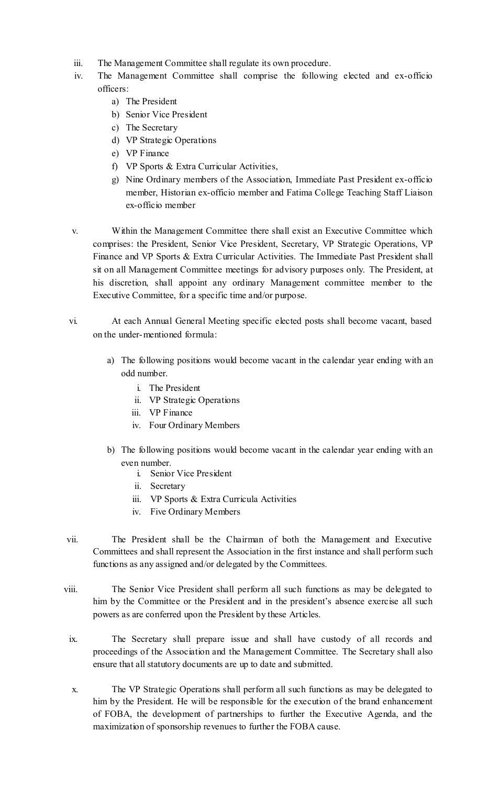- iii. The Management Committee shall regulate its own procedure.
- iv. The Management Committee shall comprise the following elected and ex-officio officers:
	- a) The President
	- b) Senior Vice President
	- c) The Secretary
	- d) VP Strategic Operations
	- e) VP Finance
	- f) VP Sports & Extra Curricular Activities,
	- g) Nine Ordinary members of the Association, Immediate Past President ex-officio member, Historian ex-officio member and Fatima College Teaching Staff Liaison ex-officio member
- v. Within the Management Committee there shall exist an Executive Committee which comprises: the President, Senior Vice President, Secretary, VP Strategic Operations, VP Finance and VP Sports & Extra Curricular Activities. The Immediate Past President shall sit on all Management Committee meetings for advisory purposes only. The President, at his discretion, shall appoint any ordinary Management committee member to the Executive Committee, for a specific time and/or purpose.
- vi. At each Annual General Meeting specific elected posts shall become vacant, based on the under-mentioned formula:
	- a) The following positions would become vacant in the calendar year ending with an odd number.
		- i. The President
		- ii. VP Strategic Operations
		- iii. VP Finance
		- iv. Four Ordinary Members
	- b) The following positions would become vacant in the calendar year ending with an even number.
		- i. Senior Vice President
		- ii. Secretary
		- iii. VP Sports & Extra Curricula Activities
		- iv. Five Ordinary Members
- vii. The President shall be the Chairman of both the Management and Executive Committees and shall represent the Association in the first instance and shall perform such functions as any assigned and/or delegated by the Committees.
- viii. The Senior Vice President shall perform all such functions as may be delegated to him by the Committee or the President and in the president's absence exercise all such powers as are conferred upon the President by these Articles.
- ix. The Secretary shall prepare issue and shall have custody of all records and proceedings of the Association and the Management Committee. The Secretary shall also ensure that all statutory documents are up to date and submitted.
- x. The VP Strategic Operations shall perform all such functions as may be delegated to him by the President. He will be responsible for the execution of the brand enhancement of FOBA, the development of partnerships to further the Executive Agenda, and the maximization of sponsorship revenues to further the FOBA cause.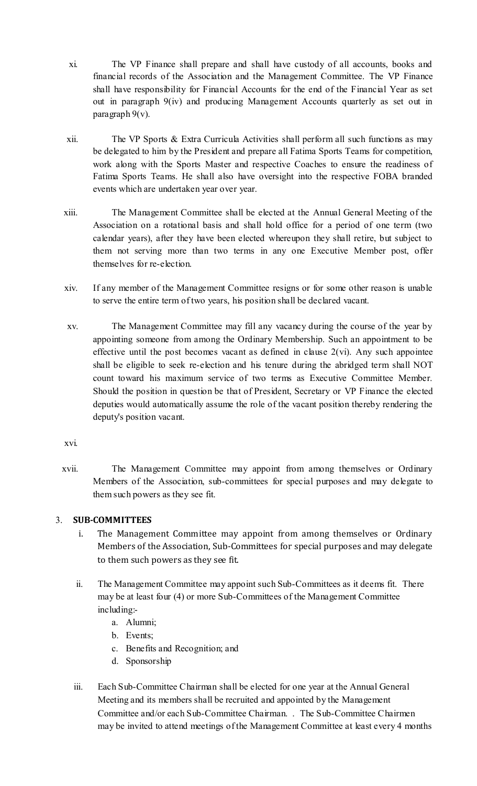- xi. The VP Finance shall prepare and shall have custody of all accounts, books and financial records of the Association and the Management Committee. The VP Finance shall have responsibility for Financial Accounts for the end of the Financial Year as set out in paragraph 9(iv) and producing Management Accounts quarterly as set out in paragraph 9(v).
- xii. The VP Sports & Extra Curricula Activities shall perform all such functions as may be delegated to him by the President and prepare all Fatima Sports Teams for competition, work along with the Sports Master and respective Coaches to ensure the readiness of Fatima Sports Teams. He shall also have oversight into the respective FOBA branded events which are undertaken year over year.
- xiii. The Management Committee shall be elected at the Annual General Meeting of the Association on a rotational basis and shall hold office for a period of one term (two calendar years), after they have been elected whereupon they shall retire, but subject to them not serving more than two terms in any one Executive Member post, offer themselves for re-election.
- xiv. If any member of the Management Committee resigns or for some other reason is unable to serve the entire term of two years, his position shall be declared vacant.
- xv. The Management Committee may fill any vacancy during the course of the year by appointing someone from among the Ordinary Membership. Such an appointment to be effective until the post becomes vacant as defined in clause  $2(vi)$ . Any such appointee shall be eligible to seek re-election and his tenure during the abridged term shall NOT count toward his maximum service of two terms as Executive Committee Member. Should the position in question be that of President, Secretary or VP Finance the elected deputies would automatically assume the role of the vacant position thereby rendering the deputy's position vacant.

xvi.

xvii. The Management Committee may appoint from among themselves or Ordinary Members of the Association, sub-committees for special purposes and may delegate to them such powers as they see fit.

# 3. **SUB-COMMITTEES**

- i. The Management Committee may appoint from among themselves or Ordinary Members of the Association, Sub-Committees for special purposes and may delegate to them such powers as they see fit.
- ii. The Management Committee may appoint such Sub-Committees as it deems fit. There may be at least four (4) or more Sub-Committees of the Management Committee including:
	- a. Alumni;
	- b. Events;
	- c. Benefits and Recognition; and
	- d. Sponsorship
- iii. Each Sub-Committee Chairman shall be elected for one year at the Annual General Meeting and its members shall be recruited and appointed by the Management Committee and/or each Sub-Committee Chairman. . The Sub-Committee Chairmen may be invited to attend meetings of the Management Committee at least every 4 months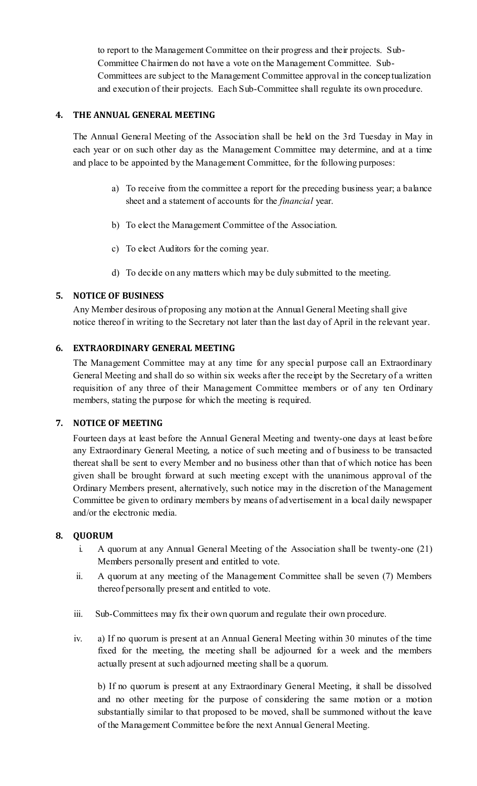to report to the Management Committee on their progress and their projects. Sub-Committee Chairmen do not have a vote on the Management Committee. Sub-Committees are subject to the Management Committee approval in the conceptualization and execution of their projects. Each Sub-Committee shall regulate its own procedure.

## **4. THE ANNUAL GENERAL MEETING**

The Annual General Meeting of the Association shall be held on the 3rd Tuesday in May in each year or on such other day as the Management Committee may determine, and at a time and place to be appointed by the Management Committee, for the following purposes:

- a) To receive from the committee a report for the preceding business year; a balance sheet and a statement of accounts for the *financial* year.
- b) To elect the Management Committee of the Association.
- c) To elect Auditors for the coming year.
- d) To decide on any matters which may be duly submitted to the meeting.

### **5. NOTICE OF BUSINESS**

Any Member desirous of proposing any motion at the Annual General Meeting shall give notice thereof in writing to the Secretary not later than the last day of April in the relevant year.

### **6. EXTRAORDINARY GENERAL MEETING**

The Management Committee may at any time for any special purpose call an Extraordinary General Meeting and shall do so within six weeks after the receipt by the Secretary of a written requisition of any three of their Management Committee members or of any ten Ordinary members, stating the purpose for which the meeting is required.

### **7. NOTICE OF MEETING**

Fourteen days at least before the Annual General Meeting and twenty-one days at least before any Extraordinary General Meeting, a notice of such meeting and of business to be transacted thereat shall be sent to every Member and no business other than that of which notice has been given shall be brought forward at such meeting except with the unanimous approval of the Ordinary Members present, alternatively, such notice may in the discretion of the Management Committee be given to ordinary members by means of advertisement in a local daily newspaper and/or the electronic media.

### **8. QUORUM**

- i. A quorum at any Annual General Meeting of the Association shall be twenty-one (21) Members personally present and entitled to vote.
- ii. A quorum at any meeting of the Management Committee shall be seven (7) Members thereof personally present and entitled to vote.
- iii. Sub-Committees may fix their own quorum and regulate their own procedure.
- iv. a) If no quorum is present at an Annual General Meeting within 30 minutes of the time fixed for the meeting, the meeting shall be adjourned for a week and the members actually present at such adjourned meeting shall be a quorum.

b) If no quorum is present at any Extraordinary General Meeting, it shall be dissolved and no other meeting for the purpose of considering the same motion or a motion substantially similar to that proposed to be moved, shall be summoned without the leave of the Management Committee before the next Annual General Meeting.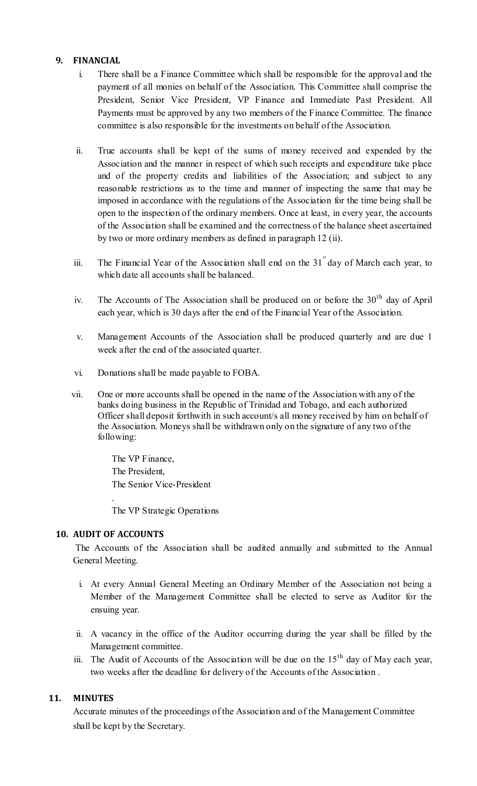### **9. FINANCIAL**

- i. There shall be a Finance Committee which shall be responsible for the approval and the payment of all monies on behalf of the Association. This Committee shall comprise the President, Senior Vice President, VP Finance and Immediate Past President. All Payments must be approved by any two members of the Finance Committee. The finance committee is also responsible for the investments on behalf of the Association.
- ii. True accounts shall be kept of the sums of money received and expended by the Association and the manner in respect of which such receipts and expenditure take place and of the property credits and liabilities of the Association; and subject to any reasonable restrictions as to the time and manner of inspecting the same that may be imposed in accordance with the regulations of the Association for the time being shall be open to the inspection of the ordinary members. Once at least, in every year, the accounts of the Association shall be examined and the correctness of the balance sheet ascertained by two or more ordinary members as defined in paragraph 12 (ii).
- iii. The Financial Year of the Association shall end on the  $31^{st}$  day of March each year, to which date all accounts shall be balanced.
- iv. The Accounts of The Association shall be produced on or before the  $30<sup>th</sup>$  day of April each year, which is 30 days after the end of the Financial Year of the Association.
- v. Management Accounts of the Association shall be produced quarterly and are due 1 week after the end of the associated quarter.
- vi. Donations shall be made payable to FOBA.
- vii. One or more accounts shall be opened in the name of the Association with any of the banks doing business in the Republic of Trinidad and Tobago, and each authorized Officer shall deposit forthwith in such account/s all money received by him on behalf of the Association. Moneys shall be withdrawn only on the signature of any two of the following:

The VP Finance, The President, The Senior Vice-President .

The VP Strategic Operations

#### **10. AUDIT OF ACCOUNTS**

The Accounts of the Association shall be audited annually and submitted to the Annual General Meeting.

- i. At every Annual General Meeting an Ordinary Member of the Association not being a Member of the Management Committee shall be elected to serve as Auditor for the ensuing year.
- ii. A vacancy in the office of the Auditor occurring during the year shall be filled by the Management committee.
- iii. The Audit of Accounts of the Association will be due on the  $15<sup>th</sup>$  day of May each year, two weeks after the deadline for delivery of the Accounts of the Association .

### **11. MINUTES**

Accurate minutes of the proceedings of the Association and of the Management Committee shall be kept by the Secretary.